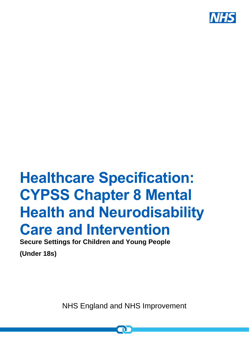

# **Healthcare Specification: CYPSS Chapter 8 Mental Health and Neurodisability Care and Intervention**

**Secure Settings for Children and Young People** 

**(Under 18s)**

NHS England and NHS Improvement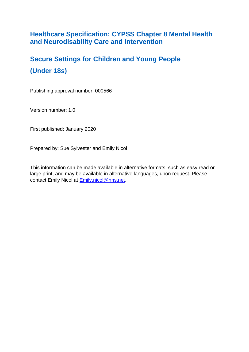## **Healthcare Specification: CYPSS Chapter 8 Mental Health and Neurodisability Care and Intervention**

## **Secure Settings for Children and Young People (Under 18s)**

Publishing approval number: 000566

Version number: 1.0

First published: January 2020

Prepared by: Sue Sylvester and Emily Nicol

This information can be made available in alternative formats, such as easy read or large print, and may be available in alternative languages, upon request. Please contact Emily Nicol at [Emily.nicol@nhs.net.](mailto:Emily.nicol@nhs.net)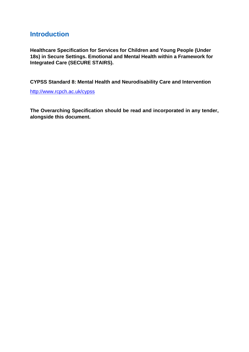### **Introduction**

**Healthcare Specification for Services for Children and Young People (Under 18s) in Secure Settings. Emotional and Mental Health within a Framework for Integrated Care (SECURE STAIRS).** 

**CYPSS Standard 8: Mental Health and Neurodisability Care and Intervention** 

<http://www.rcpch.ac.uk/cypss>

**The Overarching Specification should be read and incorporated in any tender, alongside this document.**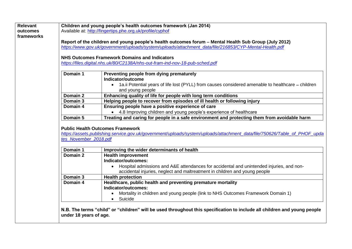| <b>Relevant</b><br>outcomes<br>frameworks |                        | Children and young people's health outcomes framework (Jan 2014)<br>Available at: http://fingertips.phe.org.uk/profile/cyphof                                                                                   |
|-------------------------------------------|------------------------|-----------------------------------------------------------------------------------------------------------------------------------------------------------------------------------------------------------------|
|                                           |                        | Report of the children and young people's health outcomes forum - Mental Health Sub Group (July 2012)<br>https://www.gov.uk/government/uploads/system/uploads/attachment_data/file/216853/CYP-Mental-Health.pdf |
|                                           |                        | <b>NHS Outcomes Framework Domains and Indicators</b><br>https://files.digital.nhs.uk/80/C2138A/nhs-out-fram-ind-nov-18-pub-sched.pdf                                                                            |
|                                           | Domain 1               | Preventing people from dying prematurely<br>Indicator/outcome                                                                                                                                                   |
|                                           |                        | • 1a.ii Potential years of life lost (PYLL) from causes considered amenable to healthcare – children<br>and young people                                                                                        |
|                                           | Domain 2               | Enhancing quality of life for people with long term conditions                                                                                                                                                  |
|                                           | Domain 3               | Helping people to recover from episodes of ill health or following injury                                                                                                                                       |
|                                           | Domain 4               | Ensuring people have a positive experience of care                                                                                                                                                              |
|                                           |                        | • 4.8 Improving children and young people's experience of healthcare                                                                                                                                            |
|                                           | Domain 5               | Treating and caring for people in a safe environment and protecting them from avoidable harm                                                                                                                    |
|                                           |                        | <b>Public Health Outcomes Framework</b><br>https://assets.publishing.service.gov.uk/government/uploads/system/uploads/attachment_data/file/750626/Table_of_PHOF_upda                                            |
|                                           | tes November 2018.pdf  |                                                                                                                                                                                                                 |
|                                           | Domain 1               | Improving the wider determinants of health                                                                                                                                                                      |
|                                           | Domain 2               | <b>Health improvement</b><br>Indicator/outcomes:                                                                                                                                                                |
|                                           |                        | Hospital admissions and A&E attendances for accidental and unintended injuries, and non-<br>$\bullet$<br>accidental injuries, neglect and maltreatment in children and young people                             |
|                                           | Domain 3               | <b>Health protection</b>                                                                                                                                                                                        |
|                                           | Domain 4               | Healthcare, public health and preventing premature mortality<br>Indicator/outcomes:<br>Mortality in children and young people (link to NHS Outcomes Framework Domain 1)<br>$\bullet$                            |
|                                           |                        | • Suicide                                                                                                                                                                                                       |
|                                           | under 18 years of age. | N.B. The terms "child" or "children" will be used throughout this specification to include all children and young people                                                                                        |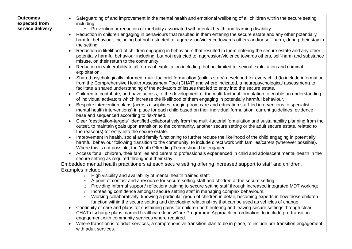| <b>Outcomes</b>                   | Safeguarding of and improvement in the mental health and emotional wellbeing of all children within the secure setting                        |
|-----------------------------------|-----------------------------------------------------------------------------------------------------------------------------------------------|
| expected from<br>service delivery | including:                                                                                                                                    |
|                                   | o Prevention or reduction of morbidity associated with mental health and learning disability.                                                 |
|                                   | Reduction in children engaging in behaviours that resulted in them entering the secure estate and any other potentially<br>$\bullet$          |
|                                   | harmful behaviour, including but not restricted to, aggression/violence towards others and/or self-harm, during their stay in                 |
|                                   | the setting.                                                                                                                                  |
|                                   | Reduction in likelihood of children engaging in behaviours that resulted in them entering the secure estate and any other                     |
|                                   | potentially harmful behaviour including, but not restricted to, aggression/violence towards others, self-harm and substance                   |
|                                   | misuse, on their return to the community.                                                                                                     |
|                                   | Reduction in vulnerability to all forms of exploitation including, but not limited to, sexual exploitation and criminal<br>$\bullet$          |
|                                   | exploitation.                                                                                                                                 |
|                                   | Shared psychologically informed, multi-factorial formulation (child's story) developed for every child (to include information<br>$\bullet$   |
|                                   | from the Comprehensive Health Assessment Tool (CHAT) and where indicated, a neuropsychological assessment) to                                 |
|                                   |                                                                                                                                               |
|                                   | facilitate a shared understanding of the activators of issues that led to entry into the secure estate.                                       |
|                                   | Children to contribute, and have access, to the development of the multi-factorial formulation to enable an understanding<br>$\bullet$        |
|                                   | of individual activators which increase the likelihood of them engaging in potentially harmful behaviour.                                     |
|                                   | Bespoke intervention plans (across disciplines, ranging from care and education staff-led interventions to specialist<br>$\bullet$            |
|                                   | mental health interventions) in place for each child based on their individual formulation, current guidelines, evidence                      |
|                                   | base and sequenced according to risk/need.                                                                                                    |
|                                   | Clear "destination-targets" identified collaboratively from the multi-factorial formulation and sustainability planning from the<br>$\bullet$ |
|                                   | outset, to maintain goals upon transition to the community, another secure setting or the adult secure estate, related to                     |
|                                   | the reason(s) for entry into the secure estate.                                                                                               |
|                                   | Improvement in health, social and family functioning to further reduce the likelihood of the child engaging in potentially<br>$\bullet$       |
|                                   | harmful behaviour following transition to the community, to include direct work with families/carers (wherever possible).                     |
|                                   | Where this is not possible, the Youth Offending Team should be engaged.                                                                       |
|                                   | Access for all children, their families and carers to professionals experienced in child and adolescent mental health in the                  |
|                                   | secure setting as required throughout their stay.                                                                                             |
|                                   | Embedded mental health practitioners at each secure setting offering increased support to staff and children.                                 |
|                                   | Examples include:                                                                                                                             |
|                                   | o High visibility and availability of mental health trained staff;                                                                            |
|                                   |                                                                                                                                               |
|                                   | A point of contact and a resource for secure setting staff and children at the secure setting;<br>$\circ$                                     |
|                                   | Providing informal support/ reflection/ training to secure setting staff through increased integrated MDT working;<br>$\circ$                 |
|                                   | Increasing confidence amongst secure setting staff in managing complex behaviours;<br>$\circ$                                                 |
|                                   | Working collaboratively, knowing a particular group of children in detail, becoming experts in how those children                             |
|                                   | function within the secure setting and developing relationships that can be used as vehicles of change.                                       |
|                                   | Continuity of care and plans for sustaining gains for children both entering and leaving secure settings through clear<br>$\bullet$           |
|                                   | CHAT discharge plans, named healthcare leads/Care Programme Approach co-ordination, to include pre-transition                                 |
|                                   | engagement with community services where required.                                                                                            |
|                                   | Where transition is to adult services, a comprehensive transition plan to be in place, to include pre-transition engagement<br>$\bullet$      |
|                                   | with adult services.                                                                                                                          |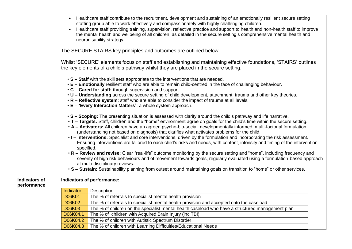|                                     | $\bullet$<br>$\bullet$ | Healthcare staff contribute to the recruitment, development and sustaining of an emotionally resilient secure setting<br>staffing group able to work effectively and compassionately with highly challenging children.<br>Healthcare staff providing training, supervision, reflective practice and support to health and non-health staff to improve<br>the mental health and wellbeing of all children, as detailed in the secure setting's comprehensive mental health and<br>neurodisability strategy.                                                                                                                                                                                                                                                                                                                                                                                                                                                                                                                                                                                                                                        |  |
|-------------------------------------|------------------------|---------------------------------------------------------------------------------------------------------------------------------------------------------------------------------------------------------------------------------------------------------------------------------------------------------------------------------------------------------------------------------------------------------------------------------------------------------------------------------------------------------------------------------------------------------------------------------------------------------------------------------------------------------------------------------------------------------------------------------------------------------------------------------------------------------------------------------------------------------------------------------------------------------------------------------------------------------------------------------------------------------------------------------------------------------------------------------------------------------------------------------------------------|--|
|                                     |                        | The SECURE STAIRS key principles and outcomes are outlined below.                                                                                                                                                                                                                                                                                                                                                                                                                                                                                                                                                                                                                                                                                                                                                                                                                                                                                                                                                                                                                                                                                 |  |
|                                     |                        | Whilst 'SECURE' elements focus on staff and establishing and maintaining effective foundations, 'STAIRS' outlines<br>the key elements of a child's pathway whilst they are placed in the secure setting.                                                                                                                                                                                                                                                                                                                                                                                                                                                                                                                                                                                                                                                                                                                                                                                                                                                                                                                                          |  |
|                                     |                        | • S – Staff with the skill sets appropriate to the interventions that are needed.<br>• E - Emotionally resilient staff who are able to remain child-centred in the face of challenging behaviour.<br>• C - Cared for staff; through supervision and support.<br>. U - Understanding across the secure setting of child development, attachment, trauma and other key theories.<br>• R – Reflective system; staff who are able to consider the impact of trauma at all levels.<br>• E – "Every Interaction Matters"; a whole system approach.                                                                                                                                                                                                                                                                                                                                                                                                                                                                                                                                                                                                      |  |
|                                     | specified.             | • S – Scoping: The presenting situation is assessed with clarity around the child's pathway and life narrative.<br>. T - Targets: Staff, children and the "home" environment agree on goals for the child's time within the secure setting.<br>• A - Activators: All children have an agreed psycho-bio-social, developmentally informed, multi-factorial formulation<br>(understanding not based on diagnosis) that clarifies what activates problems for the child.<br>• I – Interventions: Specialist and core interventions, driven by the formulation and incorporating the risk assessment.<br>Ensuring interventions are tailored to each child's risks and needs, with content, intensity and timing of the intervention<br>• R – Review and revise: Clear "real-life" outcome monitoring by the secure setting and "home", including frequency and<br>severity of high risk behaviours and of movement towards goals, regularly evaluated using a formulation-based approach<br>at multi-disciplinary reviews.<br>• S – Sustain: Sustainability planning from outset around maintaining goals on transition to "home" or other services. |  |
| <b>Indicators of</b><br>performance |                        | Indicators of performance:                                                                                                                                                                                                                                                                                                                                                                                                                                                                                                                                                                                                                                                                                                                                                                                                                                                                                                                                                                                                                                                                                                                        |  |
|                                     | Indicator              | Description                                                                                                                                                                                                                                                                                                                                                                                                                                                                                                                                                                                                                                                                                                                                                                                                                                                                                                                                                                                                                                                                                                                                       |  |
|                                     | <b>D06K01</b>          | The % of referrals to specialist mental health provision                                                                                                                                                                                                                                                                                                                                                                                                                                                                                                                                                                                                                                                                                                                                                                                                                                                                                                                                                                                                                                                                                          |  |
|                                     | <b>D06K02</b>          | The % of referrals to specialist mental health provision and accepted onto the caseload                                                                                                                                                                                                                                                                                                                                                                                                                                                                                                                                                                                                                                                                                                                                                                                                                                                                                                                                                                                                                                                           |  |
|                                     | <b>D06K03</b>          | The % of children on the specialist mental health caseload who have a structured management plan                                                                                                                                                                                                                                                                                                                                                                                                                                                                                                                                                                                                                                                                                                                                                                                                                                                                                                                                                                                                                                                  |  |
|                                     | D06K04.1               | The % of children with Acquired Brain Injury (inc TBI)                                                                                                                                                                                                                                                                                                                                                                                                                                                                                                                                                                                                                                                                                                                                                                                                                                                                                                                                                                                                                                                                                            |  |
|                                     | D06K04.2               | The % of children with Autistic Spectrum Disorder                                                                                                                                                                                                                                                                                                                                                                                                                                                                                                                                                                                                                                                                                                                                                                                                                                                                                                                                                                                                                                                                                                 |  |
|                                     | D06K04.3               | The % of children with Learning Difficulties/Educational Needs                                                                                                                                                                                                                                                                                                                                                                                                                                                                                                                                                                                                                                                                                                                                                                                                                                                                                                                                                                                                                                                                                    |  |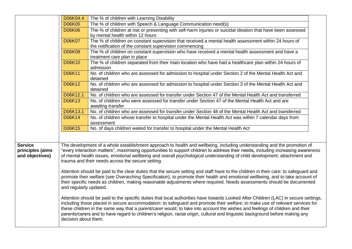|                                                       | D06K04.4               | The % of children with Learning Disability                                                                                                                                                                                                                                                                                                                                                                                                                                                                                           |  |
|-------------------------------------------------------|------------------------|--------------------------------------------------------------------------------------------------------------------------------------------------------------------------------------------------------------------------------------------------------------------------------------------------------------------------------------------------------------------------------------------------------------------------------------------------------------------------------------------------------------------------------------|--|
|                                                       | <b>D06K05</b>          | The % of children with Speech & Language Communication need(s)                                                                                                                                                                                                                                                                                                                                                                                                                                                                       |  |
|                                                       | <b>D06K06</b>          | The % of children at risk or presenting with self-harm injuries or suicidal ideation that have been assessed<br>by mental health within 12 hours                                                                                                                                                                                                                                                                                                                                                                                     |  |
|                                                       | <b>D06K07</b>          | The % of children on constant supervision that received a mental health assessment within 24 hours of<br>the notification of the constant supervision commencing                                                                                                                                                                                                                                                                                                                                                                     |  |
|                                                       | <b>D06K08</b>          | The % of children on constant supervision who have received a mental health assessment and have a<br>treatment care plan in place                                                                                                                                                                                                                                                                                                                                                                                                    |  |
|                                                       | <b>D06K10</b>          | The % of children separated from their main location who have had a healthcare plan within 24 hours of<br>admission                                                                                                                                                                                                                                                                                                                                                                                                                  |  |
|                                                       | D06K11                 | No. of children who are assessed for admission to hospital under Section 2 of the Mental Health Act and<br>detained                                                                                                                                                                                                                                                                                                                                                                                                                  |  |
|                                                       | <b>D06K12</b>          | No. of children who are assessed for admission to hospital under Section 3 of the Mental Health Act and<br>detained                                                                                                                                                                                                                                                                                                                                                                                                                  |  |
|                                                       | D06K12.1               | No. of children who are assessed for transfer under Section 47 of the Mental Health Act and transferred                                                                                                                                                                                                                                                                                                                                                                                                                              |  |
|                                                       | <b>D06K13</b>          | No. of children who were assessed for transfer under Section 47 of the Mental Health Act and are<br>awaiting transfer                                                                                                                                                                                                                                                                                                                                                                                                                |  |
|                                                       | D06K13.1               | No. of children who are assessed for transfer under Section 48 of the Mental Health Act and transferred                                                                                                                                                                                                                                                                                                                                                                                                                              |  |
|                                                       | <b>D06K14</b>          | No. of children whose transfer to hospital under the Mental Health Act was within 7 calendar days from<br>assessment                                                                                                                                                                                                                                                                                                                                                                                                                 |  |
|                                                       | <b>D06K15</b>          | No. of days children waited for transfer to hospital under the Mental Health Act                                                                                                                                                                                                                                                                                                                                                                                                                                                     |  |
|                                                       |                        |                                                                                                                                                                                                                                                                                                                                                                                                                                                                                                                                      |  |
| <b>Service</b><br>principles (aims<br>and objectives) |                        | The development of a whole establishment approach to health and wellbeing, including understanding and the promotion of<br>"every interaction matters", maximising opportunities to support children to address their needs, including increasing awareness<br>of mental health issues, emotional wellbeing and overall psychological understanding of child development, attachment and<br>trauma and their needs across the secure setting.                                                                                        |  |
|                                                       | and regularly updated. | Attention should be paid to the clear duties that the secure setting and staff have to the children in their care: to safeguard and<br>promote their welfare (see Overarching Specification), to promote their health and emotional wellbeing, and to take account of<br>their specific needs as children, making reasonable adjustments where required. Needs assessments should be documented                                                                                                                                      |  |
|                                                       | decision about them.   | Attention should be paid to the specific duties that local authorities have towards Looked After Children (LAC) in secure settings,<br>including those placed in secure accommodation: to safeguard and promote their welfare; to make use of relevant services for<br>these children in the same way that a parent/carer would; to take into account the wishes and feelings of children and their<br>parents/carers and to have regard to children's religion, racial origin, cultural and linguistic background before making any |  |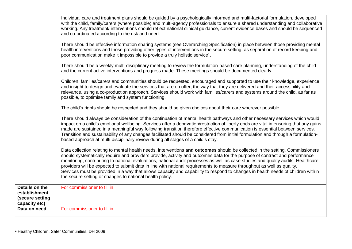|                                  | Individual care and treatment plans should be guided by a psychologically informed and multi-factorial formulation, developed<br>with the child, family/carers (where possible) and multi-agency professionals to ensure a shared understanding and collaborative<br>working. Any treatment/ interventions should reflect national clinical guidance, current evidence bases and should be sequenced<br>and co-ordinated according to the risk and need.                                                                                                                                                                                                                                                                   |
|----------------------------------|----------------------------------------------------------------------------------------------------------------------------------------------------------------------------------------------------------------------------------------------------------------------------------------------------------------------------------------------------------------------------------------------------------------------------------------------------------------------------------------------------------------------------------------------------------------------------------------------------------------------------------------------------------------------------------------------------------------------------|
|                                  | There should be effective information sharing systems (see Overarching Specification) in place between those providing mental<br>health interventions and those providing other types of interventions in the secure setting, as separation of record keeping and<br>poor communication make it impossible to provide a truly holistic service <sup>1</sup> .                                                                                                                                                                                                                                                                                                                                                              |
|                                  | There should be a weekly multi-disciplinary meeting to review the formulation-based care planning, understanding of the child<br>and the current active interventions and progress made. These meetings should be documented clearly.                                                                                                                                                                                                                                                                                                                                                                                                                                                                                      |
|                                  | Children, families/carers and communities should be requested, encouraged and supported to use their knowledge, experience<br>and insight to design and evaluate the services that are on offer, the way that they are delivered and their accessibility and<br>relevance, using a co-production approach. Services should work with families/carers and systems around the child, as far as<br>possible, to optimise family and system functioning.                                                                                                                                                                                                                                                                       |
|                                  | The child's rights should be respected and they should be given choices about their care wherever possible.                                                                                                                                                                                                                                                                                                                                                                                                                                                                                                                                                                                                                |
|                                  | There should always be consideration of the continuation of mental health pathways and other necessary services which would<br>impact on a child's emotional wellbeing. Services after a deprivation/restriction of liberty ends are vital in ensuring that any gains<br>made are sustained in a meaningful way following transition therefore effective communication is essential between services.<br>Transition and sustainability of any changes facilitated should be considered from initial formulation and through a formulation-<br>based approach at multi-disciplinary review during all stages of a child's stay.                                                                                             |
|                                  | Data collection relating to mental health needs, interventions and outcomes should be collected in the setting. Commissioners<br>should systematically require and providers provide, activity and outcomes data for the purpose of contract and performance<br>monitoring, contributing to national evaluations, national audit processes as well as case studies and quality audits. Healthcare<br>providers will be expected to submit data in line with national requirements to measure throughput as well as quality.<br>Services must be provided in a way that allows capacity and capability to respond to changes in health needs of children within<br>the secure setting or changes to national health policy. |
| Details on the<br>establishment  | For commissioner to fill in                                                                                                                                                                                                                                                                                                                                                                                                                                                                                                                                                                                                                                                                                                |
| (secure setting<br>capacity etc) |                                                                                                                                                                                                                                                                                                                                                                                                                                                                                                                                                                                                                                                                                                                            |
| Data on need                     | For commissioner to fill in                                                                                                                                                                                                                                                                                                                                                                                                                                                                                                                                                                                                                                                                                                |

<sup>1</sup> Healthy Children, Safer Communities, DH 2009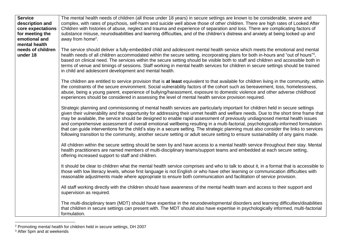| <b>Service</b>                | The mental health needs of children (all those under 18 years) in secure settings are known to be considerable, severe and                                                                                                                                                                                                                                                                                                                                                                                                                                                                                                                                                                                                                                                                                             |
|-------------------------------|------------------------------------------------------------------------------------------------------------------------------------------------------------------------------------------------------------------------------------------------------------------------------------------------------------------------------------------------------------------------------------------------------------------------------------------------------------------------------------------------------------------------------------------------------------------------------------------------------------------------------------------------------------------------------------------------------------------------------------------------------------------------------------------------------------------------|
| description and               | complex, with rates of psychosis, self-harm and suicide well above those of other children. There are high rates of Looked After                                                                                                                                                                                                                                                                                                                                                                                                                                                                                                                                                                                                                                                                                       |
| core expectations             | Children with histories of abuse, neglect and trauma and experience of separation and loss. There are complicating factors of                                                                                                                                                                                                                                                                                                                                                                                                                                                                                                                                                                                                                                                                                          |
| for meeting the               | substance misuse, neurodisabilities and learning difficulties, and of the children's distress and anxiety at being locked up and                                                                                                                                                                                                                                                                                                                                                                                                                                                                                                                                                                                                                                                                                       |
| emotional and                 | away from home <sup>2</sup> .                                                                                                                                                                                                                                                                                                                                                                                                                                                                                                                                                                                                                                                                                                                                                                                          |
| mental health                 |                                                                                                                                                                                                                                                                                                                                                                                                                                                                                                                                                                                                                                                                                                                                                                                                                        |
| needs of children<br>under 18 | The service should deliver a fully-embedded child and adolescent mental health service which meets the emotional and mental<br>health needs of all children accommodated within the secure setting, incorporating plans for both in-hours and "out of hours"3,<br>based on clinical need. The services within the secure setting should be visible both to staff and children and accessible both in<br>terms of venue and timings of sessions. Staff working in mental health services for children in secure settings should be trained<br>in child and adolescent development and mental health.                                                                                                                                                                                                                    |
|                               | The children are entitled to service provision that is at least equivalent to that available for children living in the community, within<br>the constraints of the secure environment. Social vulnerability factors of the cohort such as bereavement, loss, homelessness,<br>abuse, being a young parent, experience of bullying/harassment, exposure to domestic violence and other adverse childhood<br>experiences should be considered in assessing the level of mental health service provision required.                                                                                                                                                                                                                                                                                                       |
|                               | Strategic planning and commissioning of mental health services are particularly important for children held in secure settings<br>given their vulnerability and the opportunity for addressing their unmet health and welfare needs. Due to the short time frame that<br>may be available, the service should be designed to enable rapid assessment of previously undiagnosed mental health issues<br>and comprehensive assessment of overall emotional wellbeing resulting in a multi-factorial, psychologically-informed formulation<br>that can guide interventions for the child's stay in a secure setting. The strategic planning must also consider the links to services<br>following transition to the community, another secure setting or adult secure setting to ensure sustainability of any gains made. |
|                               | All children within the secure setting should be seen by and have access to a mental health service throughout their stay. Mental<br>health practitioners are named members of multi-disciplinary teams/support teams and embedded at each secure setting,<br>offering increased support to staff and children.                                                                                                                                                                                                                                                                                                                                                                                                                                                                                                        |
|                               | It should be clear to children what the mental health service comprises and who to talk to about it, in a format that is accessible to<br>those with low literacy levels, whose first language is not English or who have other learning or communication difficulties with<br>reasonable adjustments made where appropriate to ensure both communication and facilitation of service provision.                                                                                                                                                                                                                                                                                                                                                                                                                       |
|                               | All staff working directly with the children should have awareness of the mental health team and access to their support and<br>supervision as required.                                                                                                                                                                                                                                                                                                                                                                                                                                                                                                                                                                                                                                                               |
|                               | The multi-disciplinary team (MDT) should have expertise in the neurodevelopmental disorders and learning difficulties/disabilities<br>that children in secure settings can present with. The MDT should also have expertise in psychologically informed, multi-factorial<br>formulation.                                                                                                                                                                                                                                                                                                                                                                                                                                                                                                                               |

<sup>2</sup> Promoting mental health for children held in secure settings, DH 2007

<sup>3</sup> After 5pm and at weekends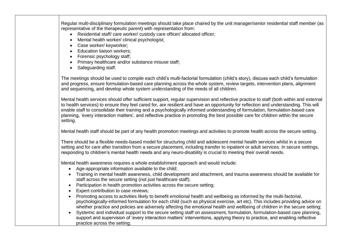Regular multi-disciplinary formulation meetings should take place chaired by the unit manager/senior residential staff member (as representative of the therapeutic parent) with representation from:

- Residential staff/ care worker/ custody care officer/ allocated officer;
- Mental health worker/ clinical psychologist;
- Case worker/ keyworker:
- Education liaison workers:
- Forensic psychology staff;
- Primary healthcare and/or substance misuse staff;
- Safeguarding staff.

The meetings should be used to compile each child's multi-factorial formulation (child's story), discuss each child's formulation and progress, ensure formulation-based care planning across the whole system, review targets, intervention plans, alignment and sequencing, and develop whole system understanding of the needs of all children.

Mental health services should offer sufficient support, regular supervision and reflective practice to staff (both within and external to health services) to ensure they feel cared for, are resilient and have an opportunity for reflection and understanding. This will enable staff to consolidate their training and a psychologically informed understanding of formulation, formulation-based care planning, 'every interaction matters', and reflective practice in promoting the best possible care for children within the secure setting.

Mental health staff should be part of any health promotion meetings and activities to promote health across the secure setting.

There should be a flexible needs-based model for structuring child and adolescent mental health services whilst in a secure setting and for care after transition from a secure placement, including transfer to inpatient or adult services. In secure settings, responding to children's mental health needs and any neuro-disability is crucial to meeting their overall needs.

Mental health awareness requires a whole establishment approach and would include:

- Age-appropriate information available to the child;
- Training in mental health awareness, child development and attachment, and trauma awareness should be available for staff across the secure setting (not just healthcare staff);
- Participation in health promotion activities across the secure setting;
- Expert contribution to case reviews:
- Promoting access to activities likely to benefit emotional health and wellbeing as informed by the multi-factorial, psychologically-informed formulation for each child (such as physical exercise, art etc). This includes providing advice on whether practice and policies are adversely affecting the emotional health and wellbeing of children in the secure setting;
- Systemic and individual support to the secure setting staff on assessment, formulation, formulation-based care planning, support and supervision of 'every interaction matters' interventions, applying theory to practice, and enabling reflective practice across the setting;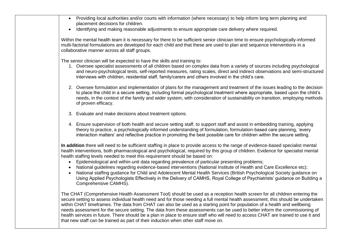- Providing local authorities and/or courts with information (where necessary) to help inform long term planning and placement decisions for children.
- Identifying and making reasonable adjustments to ensure appropriate care delivery where required.

Within the mental health team it is necessary for there to be sufficient senior clinician time to ensure psychologically-informed multi-factorial formulations are developed for each child and that these are used to plan and sequence interventions in a collaborative manner across all staff groups.

The senior clinician will be expected to have the skills and training to:

- 1. Oversee specialist assessments of all children based on complex data from a variety of sources including psychological and neuro-psychological tests, self-reported measures, rating scales, direct and indirect observations and semi-structured interviews with children, residential staff, family/carers and others involved in the child's care.
- 2. Oversee formulation and implementation of plans for the management and treatment of the issues leading to the decision to place the child in a secure setting, including formal psychological treatment where appropriate, based upon the child's needs, in the context of the family and wider system, with consideration of sustainability on transition, employing methods of proven efficacy.
- 3. Evaluate and make decisions about treatment options.
- 4. Ensure supervision of both health and secure setting staff, to support staff and assist in embedding training, applying theory to practice, a psychologically informed understanding of formulation, formulation-based care planning, 'every interaction matters' and reflective practice in promoting the best possible care for children within the secure setting.

**In addition** there will need to be sufficient staffing in place to provide access to the range of evidence-based specialist mental health interventions, both pharmacological and psychological, required by this group of children. Evidence for specialist mental health staffing levels needed to meet this requirement should be based on:

- Epidemiological and within-unit data regarding prevalence of particular presenting problems;
- National guidelines regarding evidence-based interventions (National Institute of Health and Care Excellence etc);
- National staffing guidance for Child and Adolescent Mental Health Services (British Psychological Society guidance on Using Applied Psychologists Effectively in the Delivery of CAMHS, Royal College of Psychiatrists' guidance on Building a Comprehensive CAMHS).

The CHAT (Comprehensive Health Assessment Tool) should be used as a reception health screen for all children entering the secure setting to assess individual health need and for those needing a full mental health assessment, this should be undertaken within CHAT timeframes. The data from CHAT can also be used as a starting point for population of a health and wellbeing needs assessment for the secure setting. The data from these assessments can be used to better inform the commissioning of health services in future. There should be a plan in place to ensure staff who will need to access CHAT are trained to use it and that new staff can be trained as part of their induction when other staff move on.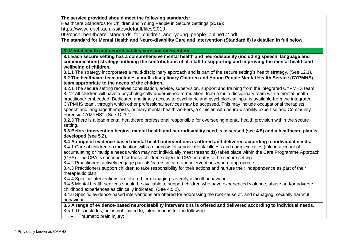|            | Healthcare Standards for Children and Young People in Secure Settings (2019):                                                                                             |
|------------|---------------------------------------------------------------------------------------------------------------------------------------------------------------------------|
|            | https://www.rcpch.ac.uk/sites/default/files/2019-                                                                                                                         |
|            | 06/rcpch_healthcare_standards_for_children_and_young_people_online1.2.pdf                                                                                                 |
|            | The standard for Mental Health and Neuro-disability Care and Intervention (Standard 8) is detailed in full below.                                                         |
|            | 8. Mental health and neurodisability care and intervention                                                                                                                |
|            | 8.1 Each secure setting has a comprehensive mental health and neurodisability (including speech, language and                                                             |
|            | communication) strategy outlining the contributions of all staff to supporting and improving the mental health and                                                        |
|            | wellbeing of children.                                                                                                                                                    |
|            | 8.1.1 The strategy incorporates a multi-disciplinary approach and is part of the secure setting's health strategy. (See 12.1).                                            |
|            | 8.2 The healthcare team includes a multi-disciplinary Children and Young People Mental Health Service (CYPMHS)                                                            |
|            | team appropriate to the needs of the children.                                                                                                                            |
|            | 8.2.1 The secure setting receives consultation, advice, supervision, support and training from the integrated CYPMHS team.                                                |
|            | 8.2.2 All children will have a psychologically underpinned formulation, from a multi-disciplinary team with a mental health                                               |
|            | practitioner embedded. Dedicated and timely access to psychiatric and psychological input is available from the integrated                                                |
|            | CYPMHS team, through which other professional services may be accessed. This may include occupational therapists,                                                         |
|            | speech and language therapists, primary mental health workers, a clinician with neuro-disability expertise and Community                                                  |
|            | Forensic CYMPHS <sup>4</sup> . (See 10.3.1).<br>8.2.3 There is a lead mental healthcare professional responsible for overseeing mental health provision within the secure |
| setting.   |                                                                                                                                                                           |
|            | 8.3 Before intervention begins, mental health and neurodisability need is assessed (see 4.5) and a healthcare plan is                                                     |
|            | developed (see 5.2).                                                                                                                                                      |
|            | 8.4 A range of evidence-based mental health interventions is offered and delivered according to individual needs.                                                         |
|            | 8.4.1 Care of children on medication with a diagnosis of serious mental illness and complex cases (taking account of                                                      |
|            | accumulating or multiple needs which may not individually meet thresholds) takes place within the Care Programme Approach                                                 |
|            | (CPA). The CPA is continued for those children subject to CPA on entry to the secure setting.                                                                             |
|            | 8.4.2 Practitioners actively engage parents/carers in care and interventions where appropriate.                                                                           |
|            | 8.4.3 Practitioners support children to take responsibility for their actions and nurture their independence as part of their                                             |
|            | therapeutic plan.                                                                                                                                                         |
|            | 8.4.4 Specific interventions are offered for managing severely difficult behaviour.                                                                                       |
|            | 8.4.5 Mental health services should be available to support children who have experienced violence, abuse and/or adverse                                                  |
|            | childhood experiences as clinically indicated. (See 4.5.2).                                                                                                               |
|            | 8.4.6 Specific evidence-based interventions are offered for addressing the root cause of, and managing, sexually harmful                                                  |
| behaviour. |                                                                                                                                                                           |
|            | 8.5 A range of evidence-based neurodisability interventions is offered and delivered according to individual needs.                                                       |
|            | 8.5.1 This includes, but is not limited to, interventions for the following:                                                                                              |
|            | • Traumatic brain injury;                                                                                                                                                 |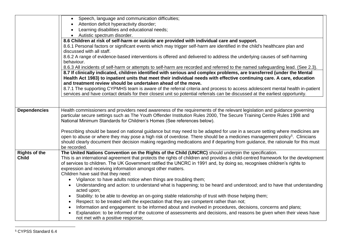|                      | • Speech, language and communication difficulties;                                                                                    |
|----------------------|---------------------------------------------------------------------------------------------------------------------------------------|
|                      | Attention deficit hyperactivity disorder;                                                                                             |
|                      | Learning disabilities and educational needs;                                                                                          |
|                      | • Autistic spectrum disorder.                                                                                                         |
|                      | 8.6 Children at risk of self-harm or suicide are provided with individual care and support.                                           |
|                      | 8.6.1 Personal factors or significant events which may trigger self-harm are identified in the child's healthcare plan and            |
|                      | discussed with all staff.                                                                                                             |
|                      | 8.6.2 A range of evidence-based interventions is offered and delivered to address the underlying causes of self-harming               |
|                      | behaviour.                                                                                                                            |
|                      | 8.6.3 All incidents of self-harm or attempts to self-harm are recorded and referred to the named safeguarding lead. (See 2.3).        |
|                      | 8.7 If clinically indicated, children identified with serious and complex problems, are transferred (under the Mental                 |
|                      | Health Act 1983) to inpatient units that meet their individual needs with effective continuing care. A care, education                |
|                      | and treatment review should be undertaken ahead of the move.                                                                          |
|                      | 8.7.1 The supporting CYPMHS team is aware of the referral criteria and process to access adolescent mental health in-patient          |
|                      | services and have contact details for their closest unit so potential referrals can be discussed at the earliest opportunity.         |
|                      |                                                                                                                                       |
| <b>Dependencies</b>  | Health commissioners and providers need awareness of the requirements of the relevant legislation and guidance governing              |
|                      | particular secure settings such as The Youth Offender Institution Rules 2000, The Secure Training Centre Rules 1998 and               |
|                      | National Minimum Standards for Children's Homes (See references below).                                                               |
|                      | Prescribing should be based on national guidance but may need to be adapted for use in a secure setting where medicines are           |
|                      | open to abuse or where they may pose a high risk of overdose. There should be a medicines management policy <sup>5</sup> . Clinicians |
|                      | should clearly document their decision making regarding medications and if departing from guidance, the rationale for this must       |
|                      | be recorded.                                                                                                                          |
| <b>Rights of the</b> | The United Nations Convention on the Rights of the Child (UNCRC) should underpin the specification.                                   |
| <b>Child</b>         | This is an international agreement that protects the rights of children and provides a child-centred framework for the development    |
|                      | of services to children. The UK Government ratified the UNCRC in 1991 and, by doing so, recognises children's rights to               |
|                      | expression and receiving information amongst other matters.                                                                           |
|                      | Children have said that they need:                                                                                                    |
|                      | Vigilance: to have adults notice when things are troubling them;                                                                      |
|                      | Understanding and action: to understand what is happening; to be heard and understood; and to have that understanding                 |
|                      | acted upon;                                                                                                                           |
|                      | Stability: to be able to develop an on-going stable relationship of trust with those helping them;                                    |
|                      | Respect: to be treated with the expectation that they are competent rather than not;                                                  |
|                      | Information and engagement: to be informed about and involved in procedures, decisions, concerns and plans;                           |
|                      | Explanation: to be informed of the outcome of assessments and decisions, and reasons be given when their views have                   |
|                      | not met with a positive response;                                                                                                     |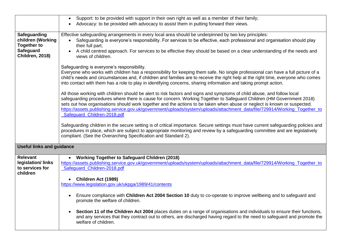|                                                                                                       | Support: to be provided with support in their own right as well as a member of their family;                                                                                                                                                                                                                                                                                                                                                                                                                                              |
|-------------------------------------------------------------------------------------------------------|-------------------------------------------------------------------------------------------------------------------------------------------------------------------------------------------------------------------------------------------------------------------------------------------------------------------------------------------------------------------------------------------------------------------------------------------------------------------------------------------------------------------------------------------|
|                                                                                                       | Advocacy: to be provided with advocacy to assist them in putting forward their views.                                                                                                                                                                                                                                                                                                                                                                                                                                                     |
| Safeguarding<br>children (Working<br><b>Together to</b><br><b>Safeguard</b><br><b>Children, 2018)</b> | Effective safeguarding arrangements in every local area should be underpinned by two key principles:<br>Safeguarding is everyone's responsibility. For services to be effective, each professional and organisation should play<br>their full part;<br>A child centred approach. For services to be effective they should be based on a clear understanding of the needs and<br>views of children.                                                                                                                                        |
|                                                                                                       | Safeguarding is everyone's responsibility.<br>Everyone who works with children has a responsibility for keeping them safe. No single professional can have a full picture of a<br>child's needs and circumstances and, if children and families are to receive the right help at the right time, everyone who comes<br>into contact with them has a role to play in identifying concerns, sharing information and taking prompt action.                                                                                                   |
|                                                                                                       | All those working with children should be alert to risk factors and signs and symptoms of child abuse, and follow local<br>safeguarding procedures where there is cause for concern. Working Together to Safeguard Children (HM Government 2018)<br>sets out how organisations should work together and the actions to be taken when abuse or neglect is known or suspected.<br>https://assets.publishing.service.gov.uk/government/uploads/system/uploads/attachment_data/file/729914/Working_Together_to<br>Safeguard_Children-2018.pdf |
|                                                                                                       | Safeguarding children in the secure setting is of critical importance. Secure settings must have current safeguarding policies and<br>procedures in place, which are subject to appropriate monitoring and review by a safeguarding committee and are legislatively<br>compliant. (See the Overarching Specification and Standard 2).                                                                                                                                                                                                     |
| <b>Useful links and guidance</b>                                                                      |                                                                                                                                                                                                                                                                                                                                                                                                                                                                                                                                           |
| <b>Relevant</b><br>legislation/links<br>to services for<br>children                                   | • Working Together to Safeguard Children (2018)<br>https://assets.publishing.service.gov.uk/government/uploads/system/uploads/attachment_data/file/729914/Working_Together_to<br>Safeguard_Children-2018.pdf                                                                                                                                                                                                                                                                                                                              |
|                                                                                                       | • Children Act (1989)<br>https://www.legislation.gov.uk/ukpga/1989/41/contents                                                                                                                                                                                                                                                                                                                                                                                                                                                            |
|                                                                                                       | Ensure compliance with Children Act 2004 Section 10 duty to co-operate to improve wellbeing and to safeguard and<br>promote the welfare of children.                                                                                                                                                                                                                                                                                                                                                                                      |
|                                                                                                       | Section 11 of the Children Act 2004 places duties on a range of organisations and individuals to ensure their functions,<br>and any services that they contract out to others, are discharged having regard to the need to safeguard and promote the<br>welfare of children.                                                                                                                                                                                                                                                              |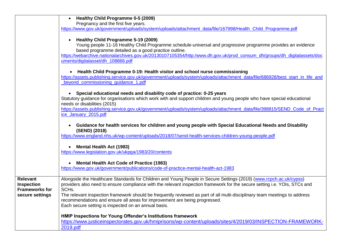|                       | Healthy Child Programme 0-5 (2009)<br>$\bullet$                                                                               |
|-----------------------|-------------------------------------------------------------------------------------------------------------------------------|
|                       | Pregnancy and the first five years.                                                                                           |
|                       | https://www.gov.uk/government/uploads/system/uploads/attachment_data/file/167998/Health_Child_Programme.pdf                   |
|                       |                                                                                                                               |
|                       | Healthy Child Programme 5-19 (2009)<br>$\bullet$                                                                              |
|                       | Young people 11-16 Healthy Child Programme schedule-universal and progressive programme provides an evidence                  |
|                       | based programme detailed as a good practice outline.                                                                          |
|                       |                                                                                                                               |
|                       | https://webarchive.nationalarchives.gov.uk/20130107105354/http:/www.dh.gov.uk/prod_consum_dh/groups/dh_digitalassets/doc      |
|                       | uments/digitalasset/dh_108866.pdf                                                                                             |
|                       |                                                                                                                               |
|                       | • Health Child Programme 0-19: Health visitor and school nurse commissioning                                                  |
|                       | https://assets.publishing.service.gov.uk/government/uploads/system/uploads/attachment data/file/686928/best start in life and |
|                       | beyond_commissioning_guidance_1.pdf                                                                                           |
|                       |                                                                                                                               |
|                       | • Special educational needs and disability code of practice: 0-25 years                                                       |
|                       |                                                                                                                               |
|                       | Statutory guidance for organisations which work with and support children and young people who have special educational       |
|                       | needs or disabilities (2015)                                                                                                  |
|                       | https://assets.publishing.service.gov.uk/government/uploads/system/uploads/attachment_data/file/398815/SEND_Code_of_Pract     |
|                       | ice_January_2015.pdf                                                                                                          |
|                       |                                                                                                                               |
|                       | Guidance for health services for children and young people with Special Educational Needs and Disability<br>$\bullet$         |
|                       | (SEND) (2018)                                                                                                                 |
|                       | https://www.england.nhs.uk/wp-content/uploads/2018/07/send-health-services-children-young-people.pdf                          |
|                       |                                                                                                                               |
|                       | • Mental Health Act (1983)                                                                                                    |
|                       | https://www.legislation.gov.uk/ukpga/1983/20/contents                                                                         |
|                       |                                                                                                                               |
|                       |                                                                                                                               |
|                       | <b>Mental Health Act Code of Practice (1983)</b><br>$\bullet$                                                                 |
|                       | https://www.gov.uk/government/publications/code-of-practice-mental-health-act-1983                                            |
|                       |                                                                                                                               |
| <b>Relevant</b>       | Alongside the Healthcare Standards for Children and Young People in Secure Settings (2019) (www.rcpch.ac.uk/cypss)            |
| <b>Inspection</b>     | providers also need to ensure compliance with the relevant inspection framework for the secure setting i.e. YOIs, STCs and    |
| <b>Frameworks for</b> | SCH <sub>s.</sub>                                                                                                             |
| secure settings       | The relevant inspection framework should be frequently reviewed as part of all multi-disciplinary team meetings to address    |
|                       | recommendations and ensure all areas for improvement are being progressed.                                                    |
|                       |                                                                                                                               |
|                       | Each secure setting is inspected on an annual basis.                                                                          |
|                       |                                                                                                                               |
|                       | HMIP Inspections for Young Offender's Institutions framework                                                                  |
|                       | https://www.justiceinspectorates.gov.uk/hmiprisons/wp-content/uploads/sites/4/2019/03/INSPECTION-FRAMEWORK-                   |
|                       | 2019.pdf                                                                                                                      |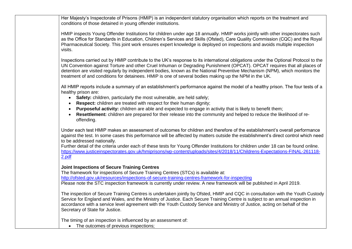Her Majesty's Inspectorate of Prisons (HMIP) is an independent statutory organisation which reports on the treatment and conditions of those detained in young offender institutions.

HMIP inspects Young Offender Institutions for children under age 18 annually. HMIP works jointly with other inspectorates such as the Office for Standards in Education, Children's Services and Skills (Ofsted), Care Quality Commission (CQC) and the Royal Pharmaceutical Society. This joint work ensures expert knowledge is deployed on inspections and avoids multiple inspection visits.

Inspections carried out by HMIP contribute to the UK's response to its international obligations under the Optional Protocol to the UN Convention against Torture and other Cruel Inhuman or Degrading Punishment (OPCAT). OPCAT requires that all places of detention are visited regularly by independent bodies, known as the National Preventive Mechanism (NPM), which monitors the treatment of and conditions for detainees. HMIP is one of several bodies making up the NPM in the UK.

All HMIP reports include a summary of an establishment's performance against the model of a healthy prison. The four tests of a healthy prison are:

- **Safety:** children, particularly the most vulnerable, are held safely;
- **Respect:** children are treated with respect for their human dignity;
- **Purposeful activity:** children are able and expected to engage in activity that is likely to benefit them;
- **Resettlement:** children are prepared for their release into the community and helped to reduce the likelihood of reoffending.

Under each test HMIP makes an assessment of outcomes for children and therefore of the establishment's overall performance against the test. In some cases this performance will be affected by matters outside the establishment's direct control which need to be addressed nationally.

Further detail of the criteria under each of these tests for Young Offender Institutions for children under 18 can be found online. [https://www.justiceinspectorates.gov.uk/hmiprisons/wp-content/uploads/sites/4/2018/11/Childrens-Expectations-FINAL-261118-](https://www.justiceinspectorates.gov.uk/hmiprisons/wp-content/uploads/sites/4/2018/11/Childrens-Expectations-FINAL-261118-2.pdf) [2.pdf](https://www.justiceinspectorates.gov.uk/hmiprisons/wp-content/uploads/sites/4/2018/11/Childrens-Expectations-FINAL-261118-2.pdf)

#### **Joint Inspections of Secure Training Centres**

The framework for inspections of Secure Training Centres (STCs) is available at: <http://ofsted.gov.uk/resources/inspections-of-secure-training-centres-framework-for-inspecting> Please note the STC inspection framework is currently under review. A new framework will be published in April 2019.

The inspection of Secure Training Centres is undertaken jointly by Ofsted, HMIP and CQC in consultation with the Youth Custody Service for England and Wales, and the Ministry of Justice. Each Secure Training Centre is subject to an annual inspection in accordance with a service level agreement with the Youth Custody Service and Ministry of Justice, acting on behalf of the Secretary of State for Justice.

The timing of an inspection is influenced by an assessment of:

• The outcomes of previous inspections: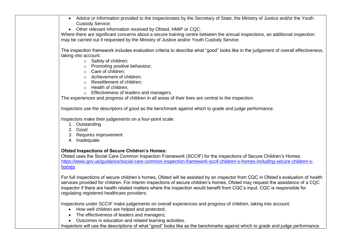- Advice or information provided to the inspectorates by the Secretary of State, the Ministry of Justice and/or the Youth Custody Service;
- Other relevant information received by Ofsted, HMIP or CQC.

Where there are significant concerns about a secure training centre between the annual inspections, an additional inspection may be carried out if requested by the Ministry of Justice and/or Youth Custody Service.

The inspection framework includes evaluation criteria to describe what "good" looks like in the judgement of overall effectiveness, taking into account:

- o Safety of children;
- o Promoting positive behaviour;
- o Care of children;
- o Achievement of children;
- o Resettlement of children;
- o Health of children;
- o Effectiveness of leaders and managers.

The experiences and progress of children in all areas of their lives are central to the inspection.

Inspectors use the descriptors of good as the benchmark against which to grade and judge performance.

Inspectors make their judgements on a four-point scale:

- 1. Outstanding
- 2. Good
- 3. Requires improvement
- 4. Inadequate.

#### **Ofsted Inspections of Secure Children's Homes:**

Ofsted uses the Social Care Common Inspection Framework (SCCIF) for the inspections of Secure Children's Homes. [https://www.gov.uk/guidance/social-care-common-inspection-framework-sccif-children-s-homes-including-secure-children-s](https://www.gov.uk/guidance/social-care-common-inspection-framework-sccif-children-s-homes-including-secure-children-s-homes)[homes](https://www.gov.uk/guidance/social-care-common-inspection-framework-sccif-children-s-homes-including-secure-children-s-homes)

For full inspections of secure children's homes, Ofsted will be assisted by an inspector from CQC in Ofsted's evaluation of health services provided for children. For interim inspections of secure children's homes, Ofsted may request the assistance of a CQC inspector if there are health related matters where the inspection would benefit from CQC's input. CQC is responsible for regulating registered healthcare providers.

Inspections under SCCIF make judgements on overall experiences and progress of children, taking into account:

- How well children are helped and protected;
- The effectiveness of leaders and managers;
- Outcomes in education and related learning activities.

Inspectors will use the descriptions of what "good" looks like as the benchmarks against which to grade and judge performance.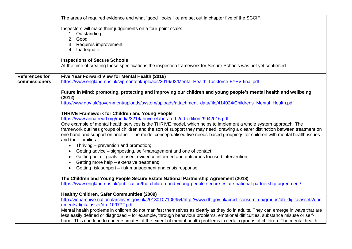| The areas of required evidence and what "good" looks like are set out in chapter five of the SCCIF.                                                                                                                                                                                                                                                                                                                                                                                                                                                                                                                      |
|--------------------------------------------------------------------------------------------------------------------------------------------------------------------------------------------------------------------------------------------------------------------------------------------------------------------------------------------------------------------------------------------------------------------------------------------------------------------------------------------------------------------------------------------------------------------------------------------------------------------------|
| Inspectors will make their judgements on a four-point scale:<br>1. Outstanding<br>2. Good<br>3. Requires improvement<br>4. Inadequate.                                                                                                                                                                                                                                                                                                                                                                                                                                                                                   |
| <b>Inspections of Secure Schools</b>                                                                                                                                                                                                                                                                                                                                                                                                                                                                                                                                                                                     |
| At the time of creating these specifications the inspection framework for Secure Schools was not yet confirmed.                                                                                                                                                                                                                                                                                                                                                                                                                                                                                                          |
| Five Year Forward View for Mental Health (2016)<br>https://www.england.nhs.uk/wp-content/uploads/2016/02/Mental-Health-Taskforce-FYFV-final.pdf                                                                                                                                                                                                                                                                                                                                                                                                                                                                          |
| Future in Mind: promoting, protecting and improving our children and young people's mental health and wellbeing<br>(2012)                                                                                                                                                                                                                                                                                                                                                                                                                                                                                                |
| http://www.gov.uk/government/uploads/system/uploads/attachment_data/file/414024/Childrens_Mental_Health.pdf                                                                                                                                                                                                                                                                                                                                                                                                                                                                                                              |
| <b>THRIVE Framework for Children and Young People</b><br>https://www.annafreud.org/media/3214/thrive-elaborated-2nd-edition29042016.pdf                                                                                                                                                                                                                                                                                                                                                                                                                                                                                  |
| One example of mental health services is the THRIVE model, which helps to implement a whole system approach. The<br>framework outlines groups of children and the sort of support they may need, drawing a clearer distinction between treatment on<br>one hand and support on another. The model conceptualised five needs-based groupings for children with mental health issues<br>and their families:                                                                                                                                                                                                                |
| Thriving – prevention and promotion;<br>$\bullet$                                                                                                                                                                                                                                                                                                                                                                                                                                                                                                                                                                        |
| Getting advice - signposting, self-management and one of contact;<br>Getting help - goals focused, evidence informed and outcomes focused intervention;                                                                                                                                                                                                                                                                                                                                                                                                                                                                  |
| Getting more help - extensive treatment;                                                                                                                                                                                                                                                                                                                                                                                                                                                                                                                                                                                 |
| Getting risk support - risk management and crisis response.                                                                                                                                                                                                                                                                                                                                                                                                                                                                                                                                                              |
| The Children and Young People Secure Estate National Partnership Agreement (2018)<br>https://www.england.nhs.uk/publication/the-children-and-young-people-secure-estate-national-partnership-agreement/                                                                                                                                                                                                                                                                                                                                                                                                                  |
| <b>Healthy Children, Safer Communities (2009)</b><br>http://webarchive.nationalarchives.gov.uk/20130107105354/http://www.dh.gov.uk/prod_consum_dh/groups/dh_digitalassets/doc<br>uments/digitalasset/dh 109772.pdf<br>Mental health problems in children do not manifest themselves as clearly as they do in adults. They can emerge in ways that are<br>less easily defined or diagnosed – for example, through behaviour problems, emotional difficulties, substance misuse or self-<br>harm. This can lead to underestimates of the extent of mental health problems in certain groups of children. The mental health |
|                                                                                                                                                                                                                                                                                                                                                                                                                                                                                                                                                                                                                          |